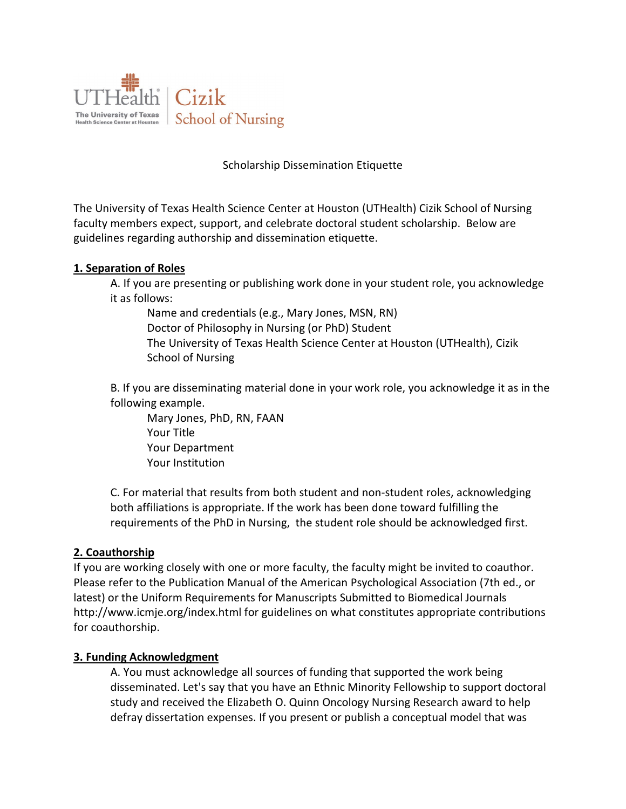

## Scholarship Dissemination Etiquette

The University of Texas Health Science Center at Houston (UTHealth) Cizik School of Nursing faculty members expect, support, and celebrate doctoral student scholarship. Below are guidelines regarding authorship and dissemination etiquette.

## **1. Separation of Roles**

A. If you are presenting or publishing work done in your student role, you acknowledge it as follows:

Name and credentials (e.g., Mary Jones, MSN, RN) Doctor of Philosophy in Nursing (or PhD) Student The University of Texas Health Science Center at Houston (UTHealth), Cizik School of Nursing

B. If you are disseminating material done in your work role, you acknowledge it as in the following example.

Mary Jones, PhD, RN, FAAN Your Title Your Department Your Institution

C. For material that results from both student and non-student roles, acknowledging both affiliations is appropriate. If the work has been done toward fulfilling the requirements of the PhD in Nursing, the student role should be acknowledged first.

## **2. Coauthorship**

If you are working closely with one or more faculty, the faculty might be invited to coauthor. Please refer to the Publication Manual of the American Psychological Association (7th ed., or latest) or the Uniform Requirements for Manuscripts Submitted to Biomedical Journals http://www.icmje.org/index.html for guidelines on what constitutes appropriate contributions for coauthorship.

## **3. Funding Acknowledgment**

A. You must acknowledge all sources of funding that supported the work being disseminated. Let's say that you have an Ethnic Minority Fellowship to support doctoral study and received the Elizabeth O. Quinn Oncology Nursing Research award to help defray dissertation expenses. If you present or publish a conceptual model that was